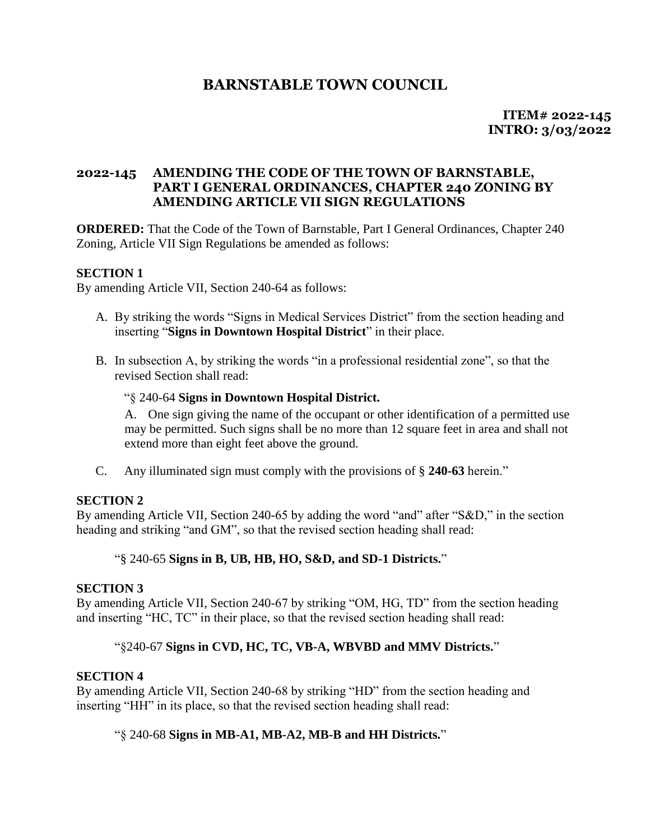# **BARNSTABLE TOWN COUNCIL**

 **ITEM# 2022-145 INTRO: 3/03/2022**

## **2022-145 AMENDING THE CODE OF THE TOWN OF BARNSTABLE, PART I GENERAL ORDINANCES, CHAPTER 240 ZONING BY AMENDING ARTICLE VII SIGN REGULATIONS**

**ORDERED:** That the Code of the Town of Barnstable, Part I General Ordinances, Chapter 240 Zoning, Article VII Sign Regulations be amended as follows:

## **SECTION 1**

By amending Article VII, Section 240-64 as follows:

- A. By striking the words "Signs in Medical Services District" from the section heading and inserting "**Signs in Downtown Hospital District**" in their place.
- B. In subsection A, by striking the words "in a professional residential zone", so that the revised Section shall read:

#### "§ 240-64 **Signs in Downtown Hospital District.**

A. One sign giving the name of the occupant or other identification of a permitted use may be permitted. Such signs shall be no more than 12 square feet in area and shall not extend more than eight feet above the ground.

C. Any illuminated sign must comply with the provisions of § **240-63** herein."

#### **SECTION 2**

By amending Article VII, Section 240-65 by adding the word "and" after "S&D," in the section heading and striking "and GM", so that the revised section heading shall read:

#### "§ 240-65 **Signs in B, UB, HB, HO, S&D, and SD-1 Districts.**"

#### **SECTION 3**

By amending Article VII, Section 240-67 by striking "OM, HG, TD" from the section heading and inserting "HC, TC" in their place, so that the revised section heading shall read:

#### "§240-67 **Signs in CVD, HC, TC, VB-A, WBVBD and MMV Districts.**"

#### **SECTION 4**

By amending Article VII, Section 240-68 by striking "HD" from the section heading and inserting "HH" in its place, so that the revised section heading shall read:

#### "§ 240-68 **Signs in MB-A1, MB-A2, MB-B and HH Districts.**"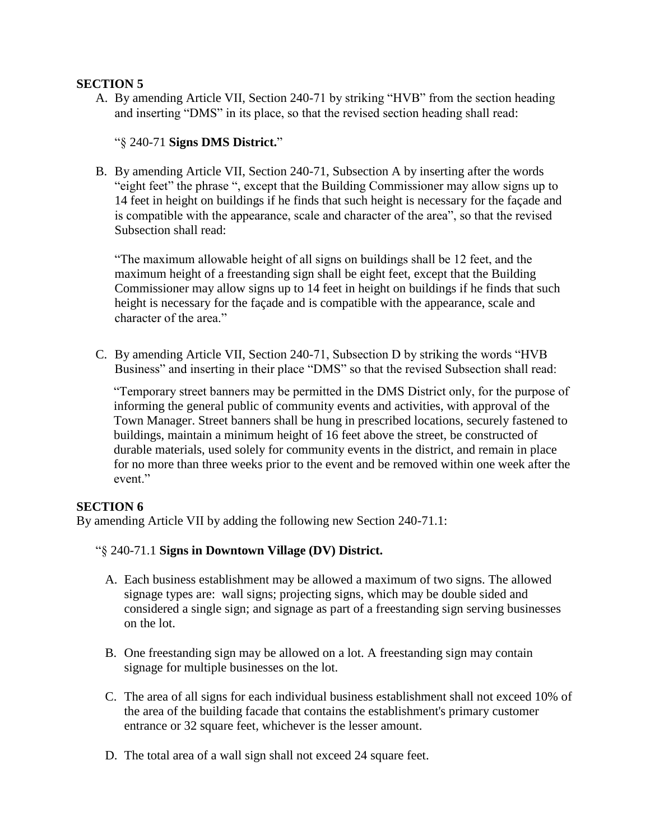### **SECTION 5**

A. By amending Article VII, Section 240-71 by striking "HVB" from the section heading and inserting "DMS" in its place, so that the revised section heading shall read:

# "§ 240-71 **Signs DMS District.**"

B. By amending Article VII, Section 240-71, Subsection A by inserting after the words "eight feet" the phrase ", except that the Building Commissioner may allow signs up to 14 feet in height on buildings if he finds that such height is necessary for the façade and is compatible with the appearance, scale and character of the area", so that the revised Subsection shall read:

"The maximum allowable height of all signs on buildings shall be 12 feet, and the maximum height of a freestanding sign shall be eight feet, except that the Building Commissioner may allow signs up to 14 feet in height on buildings if he finds that such height is necessary for the façade and is compatible with the appearance, scale and character of the area."

C. By amending Article VII, Section 240-71, Subsection D by striking the words "HVB Business" and inserting in their place "DMS" so that the revised Subsection shall read:

"Temporary street banners may be permitted in the DMS District only, for the purpose of informing the general public of community events and activities, with approval of the Town Manager. Street banners shall be hung in prescribed locations, securely fastened to buildings, maintain a minimum height of 16 feet above the street, be constructed of durable materials, used solely for community events in the district, and remain in place for no more than three weeks prior to the event and be removed within one week after the event."

# **SECTION 6**

By amending Article VII by adding the following new Section 240-71.1:

#### "§ 240-71.1 **Signs in Downtown Village (DV) District.**

- A. Each business establishment may be allowed a maximum of two signs. The allowed signage types are: wall signs; projecting signs, which may be double sided and considered a single sign; and signage as part of a freestanding sign serving businesses on the lot.
- B. One freestanding sign may be allowed on a lot. A freestanding sign may contain signage for multiple businesses on the lot.
- C. The area of all signs for each individual business establishment shall not exceed 10% of the area of the building facade that contains the establishment's primary customer entrance or 32 square feet, whichever is the lesser amount.
- D. The total area of a wall sign shall not exceed 24 square feet.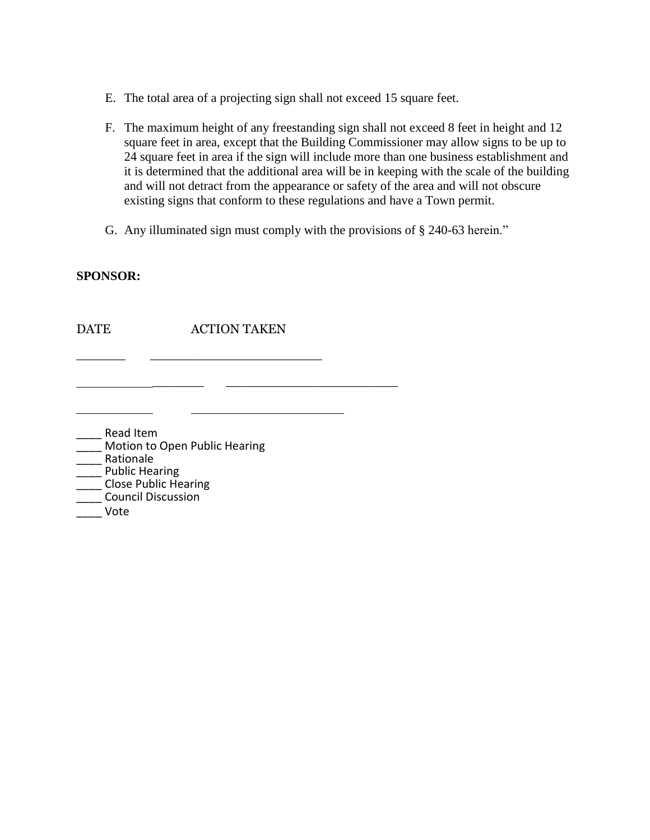- E. The total area of a projecting sign shall not exceed 15 square feet.
- F. The maximum height of any freestanding sign shall not exceed 8 feet in height and 12 square feet in area, except that the Building Commissioner may allow signs to be up to 24 square feet in area if the sign will include more than one business establishment and it is determined that the additional area will be in keeping with the scale of the building and will not detract from the appearance or safety of the area and will not obscure existing signs that conform to these regulations and have a Town permit.
- G. Any illuminated sign must comply with the provisions of § [240-63](https://ecode360.com/6559744#6559744) herein."

#### **SPONSOR:**

DATE ACTION TAKEN

\_\_\_\_\_\_\_\_ \_\_\_\_\_\_\_\_\_\_\_\_\_\_\_\_\_\_\_\_\_\_\_\_\_\_\_

\_\_\_\_\_\_ \_\_\_\_\_\_\_\_\_\_\_\_\_\_\_\_\_\_\_\_\_

| Read Item                     |
|-------------------------------|
| Motion to Open Public Hearing |
| Rationale                     |
| <b>Public Hearing</b>         |
| <b>Close Public Hearing</b>   |
| <b>Council Discussion</b>     |
| Vote                          |

 $\mathcal{L}^{\mathcal{L}}$